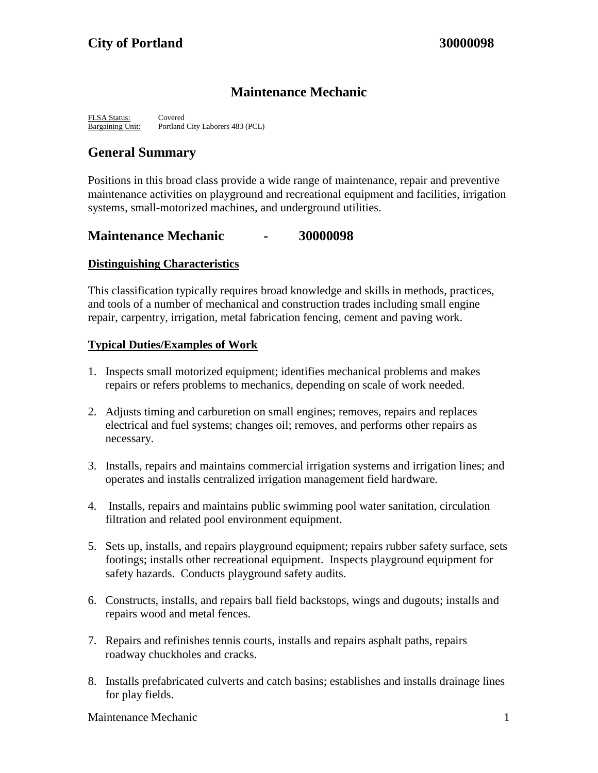# **Maintenance Mechanic**

FLSA Status: Covered Bargaining Unit: Portland City Laborers 483 (PCL)

# **General Summary**

Positions in this broad class provide a wide range of maintenance, repair and preventive maintenance activities on playground and recreational equipment and facilities, irrigation systems, small-motorized machines, and underground utilities.

## **Maintenance Mechanic - 30000098**

#### **Distinguishing Characteristics**

This classification typically requires broad knowledge and skills in methods, practices, and tools of a number of mechanical and construction trades including small engine repair, carpentry, irrigation, metal fabrication fencing, cement and paving work.

#### **Typical Duties/Examples of Work**

- 1. Inspects small motorized equipment; identifies mechanical problems and makes repairs or refers problems to mechanics, depending on scale of work needed.
- 2. Adjusts timing and carburetion on small engines; removes, repairs and replaces electrical and fuel systems; changes oil; removes, and performs other repairs as necessary.
- 3. Installs, repairs and maintains commercial irrigation systems and irrigation lines; and operates and installs centralized irrigation management field hardware.
- 4. Installs, repairs and maintains public swimming pool water sanitation, circulation filtration and related pool environment equipment.
- 5. Sets up, installs, and repairs playground equipment; repairs rubber safety surface, sets footings; installs other recreational equipment. Inspects playground equipment for safety hazards. Conducts playground safety audits.
- 6. Constructs, installs, and repairs ball field backstops, wings and dugouts; installs and repairs wood and metal fences.
- 7. Repairs and refinishes tennis courts, installs and repairs asphalt paths, repairs roadway chuckholes and cracks.
- 8. Installs prefabricated culverts and catch basins; establishes and installs drainage lines for play fields.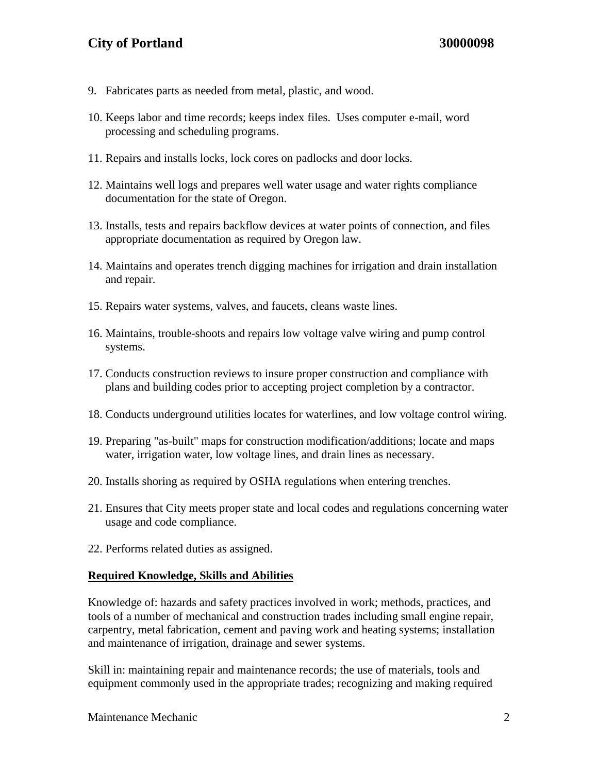# **City of Portland 30000098**

- 9. Fabricates parts as needed from metal, plastic, and wood.
- 10. Keeps labor and time records; keeps index files. Uses computer e-mail, word processing and scheduling programs.
- 11. Repairs and installs locks, lock cores on padlocks and door locks.
- 12. Maintains well logs and prepares well water usage and water rights compliance documentation for the state of Oregon.
- 13. Installs, tests and repairs backflow devices at water points of connection, and files appropriate documentation as required by Oregon law.
- 14. Maintains and operates trench digging machines for irrigation and drain installation and repair.
- 15. Repairs water systems, valves, and faucets, cleans waste lines.
- 16. Maintains, trouble-shoots and repairs low voltage valve wiring and pump control systems.
- 17. Conducts construction reviews to insure proper construction and compliance with plans and building codes prior to accepting project completion by a contractor.
- 18. Conducts underground utilities locates for waterlines, and low voltage control wiring.
- 19. Preparing "as-built" maps for construction modification/additions; locate and maps water, irrigation water, low voltage lines, and drain lines as necessary.
- 20. Installs shoring as required by OSHA regulations when entering trenches.
- 21. Ensures that City meets proper state and local codes and regulations concerning water usage and code compliance.
- 22. Performs related duties as assigned.

#### **Required Knowledge, Skills and Abilities**

Knowledge of: hazards and safety practices involved in work; methods, practices, and tools of a number of mechanical and construction trades including small engine repair, carpentry, metal fabrication, cement and paving work and heating systems; installation and maintenance of irrigation, drainage and sewer systems.

Skill in: maintaining repair and maintenance records; the use of materials, tools and equipment commonly used in the appropriate trades; recognizing and making required